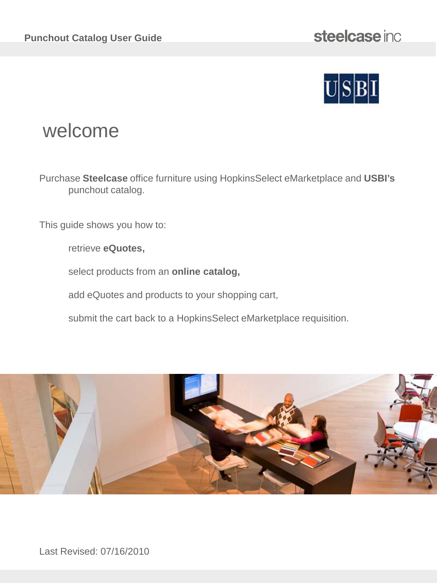

# welcome

Purchase **Steelcase** office furniture using HopkinsSelect eMarketplace and **USBI's**  punchout catalog.

This guide shows you how to:

retrieve **eQuotes,** 

select products from an **online catalog,**

add eQuotes and products to your shopping cart,

submit the cart back to a HopkinsSelect eMarketplace requisition.



Last Revised: 07/16/2010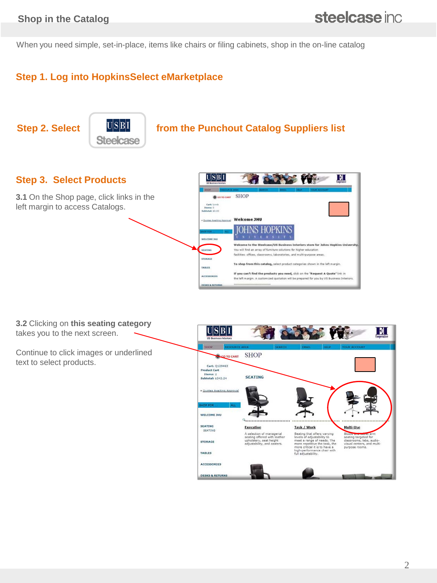When you need simple, set-in-place, items like chairs or filing cabinets, shop in the on-line catalog

### **Step 1. Log into HopkinsSelect eMarketplace**

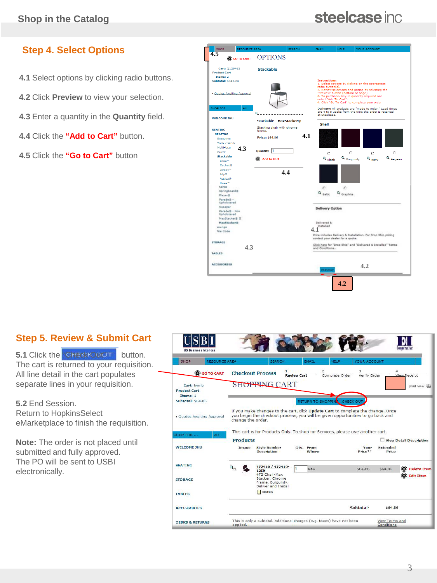# steelcase inc.

## **Step 4. Select Options**

- **4.1** Select options by clicking radio buttons.
- **4.2** Click **Preview** to view your selection.
- **4.3** Enter a quantity in the **Quantity** field.
- **4.4** Click the **"Add to Cart"** button.
- **4.5** Click the **"Go to Cart"** button



### **Step 5. Review & Submit Cart**

**5.1** Click the **Check Out"** button. The cart is returned to your requisition. All line detail in the cart populates separate lines in your requisition.

**5.2** End Session. Return to HopkinsSelect eMarketplace to finish the requisition.

**Note:** The order is not placed until submitted and fully approved. The PO will be sent to USBI electronically.

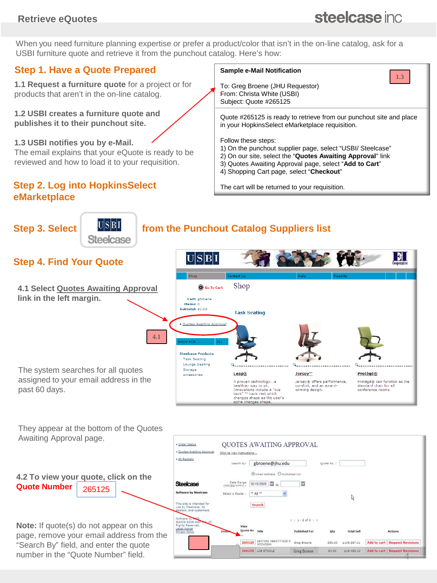### **Retrieve eQuotes**

# steelcase inc.

When you need furniture planning expertise or prefer a product/color that isn't in the on-line catalog, ask for a USBI furniture quote and retrieve it from the punchout catalog. Here's how:

### **Step 1. Have a Quote Prepared**

**1.1 Request a furniture quote** for a project or for products that aren't in the on-line catalog.

**1.2 USBI creates a furniture quote and publishes it to their punchout site.**

**1.3 USBI notifies you by e-Mail.** 

The email explains that your eQuote is ready to be reviewed and how to load it to your requisition.

#### **Step 2. Log into HopkinsSelect eMarketplace**

#### **Sample e-Mail Notification**



To: Greg Broene (JHU Requestor) From: Christa White (USBI) Subject: Quote #265125

Quote #265125 is ready to retrieve from our punchout site and place in your HopkinsSelect eMarketplace requisition.

Follow these steps:

- 1) On the punchout supplier page, select "USBI/ Steelcase"
- 2) On our site, select the "**Quotes Awaiting Approval**" link
- 3) Quotes Awaiting Approval page, select "**Add to Cart**"
- 4) Shopping Cart page, select "**Checkout**"

The cart will be returned to your requisition.





**Note:** If quote(s) do not appear on this page, remove your email address from the "Search By" field, and enter the quote number in the "Quote Number" field.